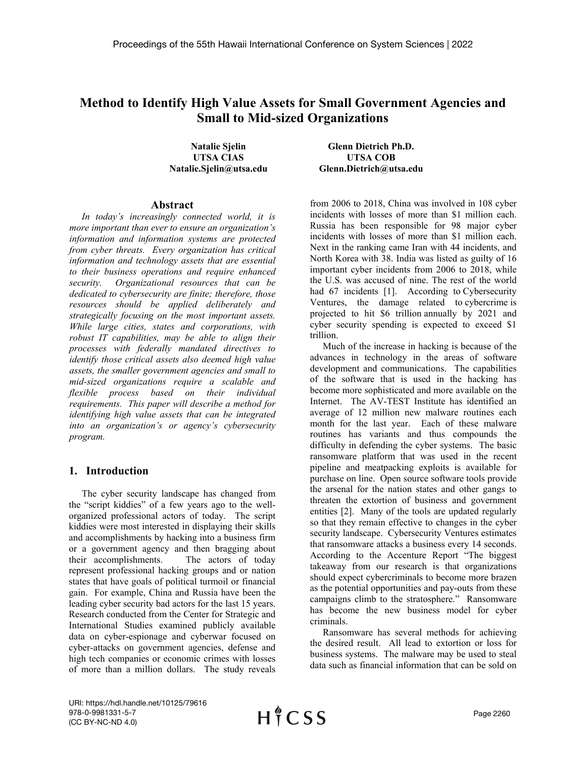# **Method to Identify High Value Assets for Small Government Agencies and Small to Mid-sized Organizations**

**Natalie Sjelin UTSA CIAS Natalie.Sjelin@utsa.edu**

#### **Abstract**

*In today's increasingly connected world, it is more important than ever to ensure an organization's information and information systems are protected from cyber threats. Every organization has critical information and technology assets that are essential to their business operations and require enhanced security. Organizational resources that can be dedicated to cybersecurity are finite; therefore, those resources should be applied deliberately and strategically focusing on the most important assets. While large cities, states and corporations, with robust IT capabilities, may be able to align their processes with federally mandated directives to identify those critical assets also deemed high value assets, the smaller government agencies and small to mid-sized organizations require a scalable and flexible process based on their individual requirements. This paper will describe a method for identifying high value assets that can be integrated into an organization's or agency's cybersecurity program.*

## **1. Introduction**

The cyber security landscape has changed from the "script kiddies" of a few years ago to the wellorganized professional actors of today. The script kiddies were most interested in displaying their skills and accomplishments by hacking into a business firm or a government agency and then bragging about their accomplishments. The actors of today represent professional hacking groups and or nation states that have goals of political turmoil or financial gain. For example, China and Russia have been the leading cyber security bad actors for the last 15 years. Research conducted from the Center for Strategic and International Studies examined publicly available data on cyber-espionage and cyberwar focused on cyber-attacks on government agencies, defense and high tech companies or economic crimes with losses of more than a million dollars. The study reveals

**Glenn Dietrich Ph.D. UTSA COB Glenn.Dietrich@utsa.edu**

from 2006 to 2018, China was involved in 108 cyber incidents with losses of more than \$1 million each. Russia has been responsible for 98 major cyber incidents with losses of more than \$1 million each. Next in the ranking came Iran with 44 incidents, and North Korea with 38. India was listed as guilty of 16 important cyber incidents from 2006 to 2018, while the U.S. was accused of nine. The rest of the world had 67 incidents [1]. According to Cybersecurity [Ventures,](https://cybersecurityventures.com/cybercrime-damages-6-trillion-by-2021/) the damage related to cybercrime is projected to hit \$6 trillion annually by 2021 and cyber security spending is expected to exceed \$1 trillion.

Much of the increase in hacking is because of the advances in technology in the areas of software development and communications. The capabilities of the software that is used in the hacking has become more sophisticated and more available on the Internet. The AV-TEST Institute has identified an average of 12 million new malware routines each month for the last year. Each of these malware routines has variants and thus compounds the difficulty in defending the cyber systems. The basic ransomware platform that was used in the recent pipeline and meatpacking exploits is available for purchase on line. Open source software tools provide the arsenal for the nation states and other gangs to threaten the extortion of business and government entities [2]. Many of the tools are updated regularly so that they remain effective to changes in the cyber security landscape. Cybersecurity Ventures estimates that ransomware attacks a business every 14 seconds. According to the Accenture Report "The biggest takeaway from our research is that organizations should expect cybercriminals to become more brazen as the potential opportunities and pay-outs from these campaigns climb to the stratosphere." Ransomware has become the new business model for cyber criminals.

Ransomware has several methods for achieving the desired result. All lead to extortion or loss for business systems. The malware may be used to steal data such as financial information that can be sold on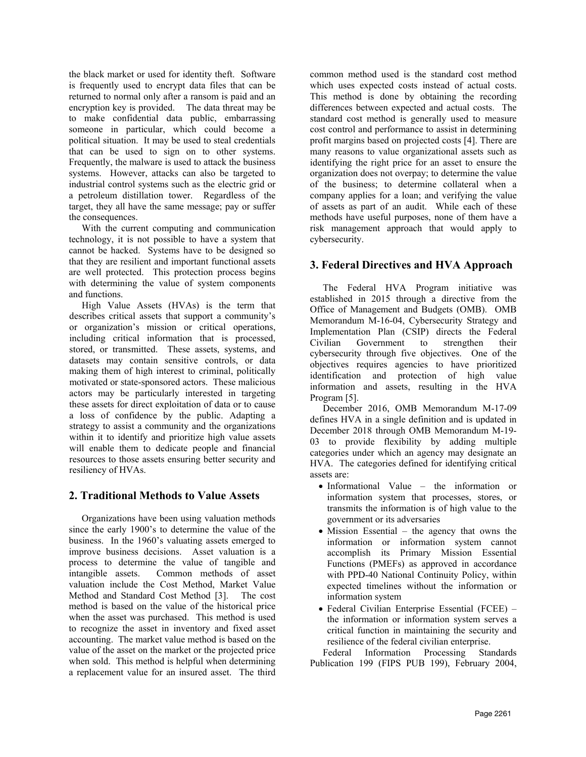the black market or used for identity theft. Software is frequently used to encrypt data files that can be returned to normal only after a ransom is paid and an encryption key is provided. The data threat may be to make confidential data public, embarrassing someone in particular, which could become a political situation. It may be used to steal credentials that can be used to sign on to other systems. Frequently, the malware is used to attack the business systems. However, attacks can also be targeted to industrial control systems such as the electric grid or a petroleum distillation tower. Regardless of the target, they all have the same message; pay or suffer the consequences.

With the current computing and communication technology, it is not possible to have a system that cannot be hacked. Systems have to be designed so that they are resilient and important functional assets are well protected. This protection process begins with determining the value of system components and functions.

High Value Assets (HVAs) is the term that describes critical assets that support a community's or organization's mission or critical operations, including critical information that is processed, stored, or transmitted. These assets, systems, and datasets may contain sensitive controls, or data making them of high interest to criminal, politically motivated or state-sponsored actors. These malicious actors may be particularly interested in targeting these assets for direct exploitation of data or to cause a loss of confidence by the public. Adapting a strategy to assist a community and the organizations within it to identify and prioritize high value assets will enable them to dedicate people and financial resources to those assets ensuring better security and resiliency of HVAs.

## **2. Traditional Methods to Value Assets**

Organizations have been using valuation methods since the early 1900's to determine the value of the business. In the 1960's valuating assets emerged to improve business decisions. Asset valuation is a process to determine the value of tangible and intangible assets. Common methods of asset Common methods of asset valuation include the Cost Method, Market Value Method and Standard Cost Method [3]. The cost method is based on the value of the historical price when the asset was purchased. This method is used to recognize the asset in inventory and fixed asset accounting. The market value method is based on the value of the asset on the market or the projected price when sold. This method is helpful when determining a replacement value for an insured asset. The third

common method used is the standard cost method which uses expected costs instead of actual costs. This method is done by obtaining the recording differences between expected and actual costs. The standard cost method is generally used to measure cost control and performance to assist in determining profit margins based on projected costs [4]. There are many reasons to value organizational assets such as identifying the right price for an asset to ensure the organization does not overpay; to determine the value of the business; to determine collateral when a company applies for a loan; and verifying the value of assets as part of an audit. While each of these methods have useful purposes, none of them have a risk management approach that would apply to cybersecurity.

# **3. Federal Directives and HVA Approach**

The Federal HVA Program initiative was established in 2015 through a directive from the Office of Management and Budgets (OMB). OMB Memorandum M-16-04, Cybersecurity Strategy and Implementation Plan (CSIP) directs the Federal<br>Civilian Government to strengthen their Civilian Government to strengthen their cybersecurity through five objectives. One of the objectives requires agencies to have prioritized identification and protection of high value information and assets, resulting in the HVA Program [5].

December 2016, OMB Memorandum M-17-09 defines HVA in a single definition and is updated in December 2018 through OMB Memorandum M-19- 03 to provide flexibility by adding multiple categories under which an agency may designate an HVA. The categories defined for identifying critical assets are:

- Informational Value the information or information system that processes, stores, or transmits the information is of high value to the government or its adversaries
- Mission Essential the agency that owns the information or information system cannot accomplish its Primary Mission Essential Functions (PMEFs) as approved in accordance with PPD-40 National Continuity Policy, within expected timelines without the information or information system
- Federal Civilian Enterprise Essential (FCEE) the information or information system serves a critical function in maintaining the security and resilience of the federal civilian enterprise.

Federal Information Processing Standards Publication 199 (FIPS PUB 199), February 2004,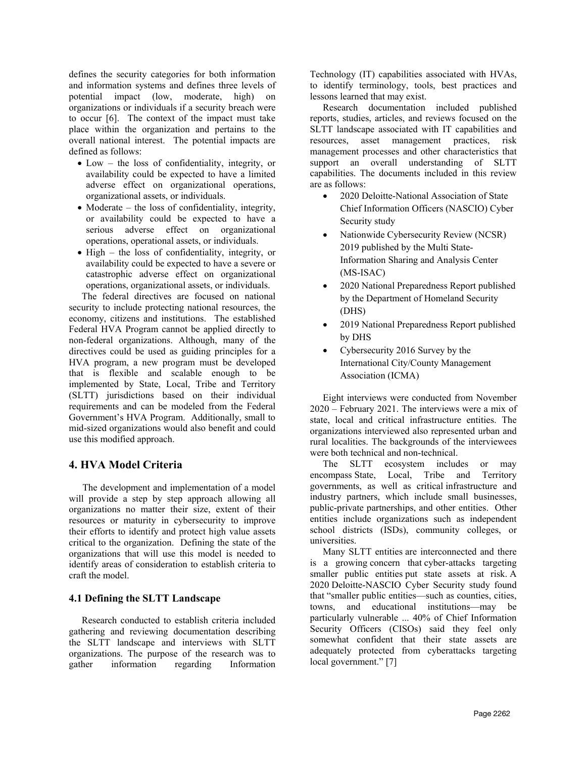defines the security categories for both information and information systems and defines three levels of potential impact (low, moderate, high) on organizations or individuals if a security breach were to occur [6]. The context of the impact must take place within the organization and pertains to the overall national interest. The potential impacts are defined as follows:

- Low the loss of confidentiality, integrity, or availability could be expected to have a limited adverse effect on organizational operations, organizational assets, or individuals.
- Moderate the loss of confidentiality, integrity, or availability could be expected to have a serious adverse effect on organizational operations, operational assets, or individuals.
- High the loss of confidentiality, integrity, or availability could be expected to have a severe or catastrophic adverse effect on organizational operations, organizational assets, or individuals.

The federal directives are focused on national security to include protecting national resources, the economy, citizens and institutions. The established Federal HVA Program cannot be applied directly to non-federal organizations. Although, many of the directives could be used as guiding principles for a HVA program, a new program must be developed that is flexible and scalable enough to be implemented by State, Local, Tribe and Territory (SLTT) jurisdictions based on their individual requirements and can be modeled from the Federal Government's HVA Program. Additionally, small to mid-sized organizations would also benefit and could use this modified approach.

## **4. HVA Model Criteria**

The development and implementation of a model will provide a step by step approach allowing all organizations no matter their size, extent of their resources or maturity in cybersecurity to improve their efforts to identify and protect high value assets critical to the organization. Defining the state of the organizations that will use this model is needed to identify areas of consideration to establish criteria to craft the model.

### **4.1 Defining the SLTT Landscape**

Research conducted to establish criteria included gathering and reviewing documentation describing the SLTT landscape and interviews with SLTT organizations. The purpose of the research was to gather information regarding Information gather information regarding Information Technology (IT) capabilities associated with HVAs, to identify terminology, tools, best practices and lessons learned that may exist.

Research documentation included published reports, studies, articles, and reviews focused on the SLTT landscape associated with IT capabilities and resources, asset management practices, risk management processes and other characteristics that support an overall understanding of SLTT capabilities. The documents included in this review are as follows:

- 2020 Deloitte-National Association of State Chief Information Officers (NASCIO) Cyber Security study
- Nationwide Cybersecurity Review (NCSR) 2019 published by the Multi State-Information Sharing and Analysis Center (MS-ISAC)
- 2020 National Preparedness Report published by the Department of Homeland Security (DHS)
- 2019 National Preparedness Report published by DHS
- Cybersecurity 2016 Survey by the International City/County Management Association (ICMA)

Eight interviews were conducted from November 2020 – February 2021. The interviews were a mix of state, local and critical infrastructure entities. The organizations interviewed also represented urban and rural localities. The backgrounds of the interviewees were both technical and non-technical.

The SLTT ecosystem includes or may encompass State, Local, Tribe and Territory governments, as well as critical infrastructure and industry partners, which include small businesses, public-private partnerships, and other entities. Other entities include organizations such as independent school districts (ISDs), community colleges, or universities.

Many SLTT entities are interconnected and there is a growing concern that cyber-attacks targeting smaller public entities put state assets at risk. A 2020 Deloitte-NASCIO Cyber Security study found that "smaller public entities—such as counties, cities, towns, and educational institutions—may be particularly vulnerable ... 40% of Chief Information Security Officers (CISOs) said they feel only somewhat confident that their state assets are adequately protected from cyberattacks targeting local government." [7]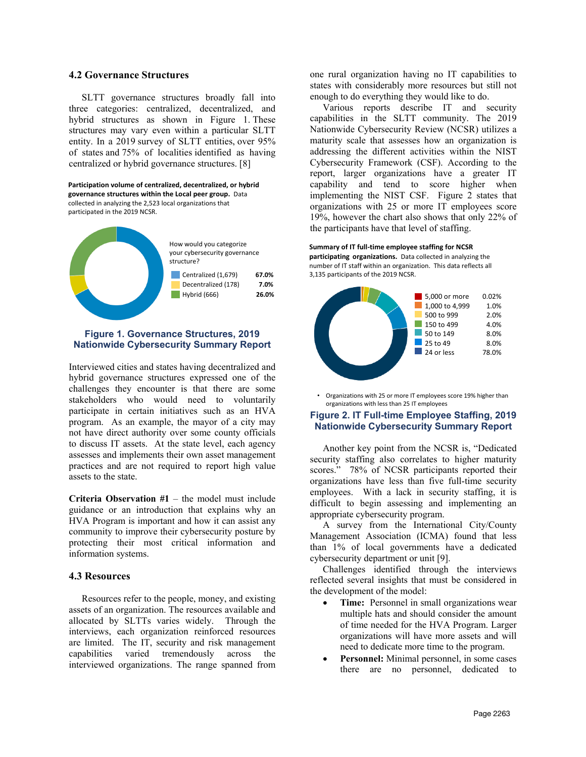#### **4.2 Governance Structures**

SLTT governance structures broadly fall into three categories: centralized, decentralized, and hybrid structures as shown in Figure 1. These structures may vary even within a particular SLTT entity. In a 2019 survey of SLTT entities, over 95% of states and 75% of localities identified as having centralized or hybrid governance structures. [8]

**Participation volume of centralized, decentralized, or hybrid governance structures within the Local peer group.** Data collected in analyzing the 2,523 local organizations that participated in the 2019 NCSR.



### **Figure 1. Governance Structures, 2019 Nationwide Cybersecurity Summary Report**

Interviewed cities and states having decentralized and hybrid governance structures expressed one of the challenges they encounter is that there are some stakeholders who would need to voluntarily participate in certain initiatives such as an HVA program. As an example, the mayor of a city may not have direct authority over some county officials to discuss IT assets. At the state level, each agency assesses and implements their own asset management practices and are not required to report high value assets to the state.

**Criteria Observation #1** – the model must include guidance or an introduction that explains why an HVA Program is important and how it can assist any community to improve their cybersecurity posture by protecting their most critical information and information systems.

#### **4.3 Resources**

Resources refer to the people, money, and existing assets of an organization. The resources available and allocated by SLTTs varies widely. Through the interviews, each organization reinforced resources are limited. The IT, security and risk management capabilities varied tremendously across the interviewed organizations. The range spanned from

one rural organization having no IT capabilities to states with considerably more resources but still not enough to do everything they would like to do.

Various reports describe IT and security capabilities in the SLTT community. The 2019 Nationwide Cybersecurity Review (NCSR) utilizes a maturity scale that assesses how an organization is addressing the different activities within the NIST Cybersecurity Framework (CSF). According to the report, larger organizations have a greater IT capability and tend to score higher when implementing the NIST CSF. Figure 2 states that organizations with 25 or more IT employees score 19%, however the chart also shows that only 22% of the participants have that level of staffing.

**Summary of IT full-time employee staffing for NCSR participating organizations.** Data collected in analyzing the number of IT staff within an organization. This data reflects all 3,135 participants of the 2019 NCSR.



• Organizations with 25 or more IT employees score 19% higher than organizations with less than 25 IT employees

#### **Figure 2. IT Full-time Employee Staffing, 2019 Nationwide Cybersecurity Summary Report**

Another key point from the NCSR is, "Dedicated security staffing also correlates to higher maturity scores." 78% of NCSR participants reported their organizations have less than five full-time security employees. With a lack in security staffing, it is difficult to begin assessing and implementing an appropriate cybersecurity program.

A survey from the International City/County Management Association (ICMA) found that less than 1% of local governments have a dedicated cybersecurity department or unit [9].

Challenges identified through the interviews reflected several insights that must be considered in the development of the model:

- **Time:** Personnel in small organizations wear multiple hats and should consider the amount of time needed for the HVA Program. Larger organizations will have more assets and will need to dedicate more time to the program.
- Personnel: Minimal personnel, in some cases there are no personnel, dedicated to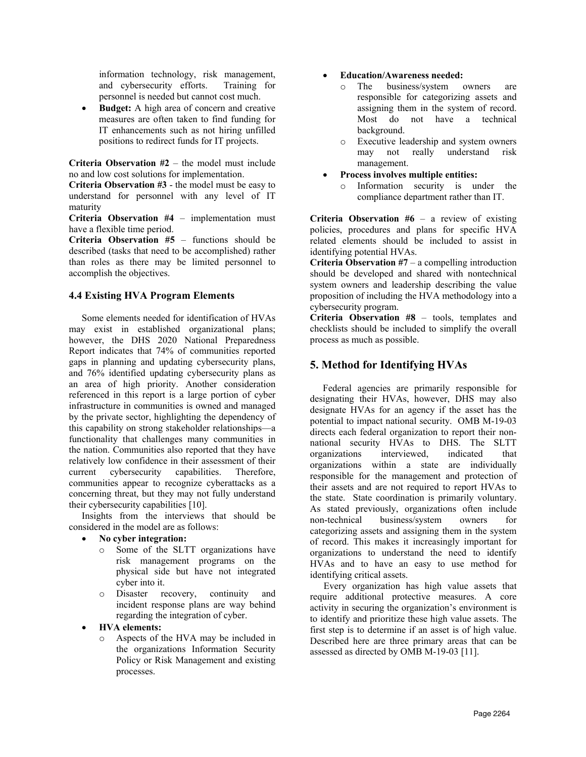information technology, risk management, and cybersecurity efforts. Training for personnel is needed but cannot cost much.

**Budget:** A high area of concern and creative measures are often taken to find funding for IT enhancements such as not hiring unfilled positions to redirect funds for IT projects.

**Criteria Observation #2** – the model must include no and low cost solutions for implementation.

**Criteria Observation #3** - the model must be easy to understand for personnel with any level of IT maturity

**Criteria Observation #4** – implementation must have a flexible time period.

**Criteria Observation #5** – functions should be described (tasks that need to be accomplished) rather than roles as there may be limited personnel to accomplish the objectives.

### **4.4 Existing HVA Program Elements**

Some elements needed for identification of HVAs may exist in established organizational plans; however, the DHS 2020 National Preparedness Report indicates that 74% of communities reported gaps in planning and updating cybersecurity plans, and 76% identified updating cybersecurity plans as an area of high priority. Another consideration referenced in this report is a large portion of cyber infrastructure in communities is owned and managed by the private sector, highlighting the dependency of this capability on strong stakeholder relationships—a functionality that challenges many communities in the nation. Communities also reported that they have relatively low confidence in their assessment of their current cybersecurity capabilities. Therefore, communities appear to recognize cyberattacks as a concerning threat, but they may not fully understand their cybersecurity capabilities [10].

Insights from the interviews that should be considered in the model are as follows:

- **No cyber integration:**
	- o Some of the SLTT organizations have risk management programs on the physical side but have not integrated cyber into it.<br>Disaster re
	- o Disaster recovery, continuity and incident response plans are way behind regarding the integration of cyber.

### • **HVA elements:**

o Aspects of the HVA may be included in the organizations Information Security Policy or Risk Management and existing processes.

#### • **Education/Awareness needed:**

- o The business/system owners are responsible for categorizing assets and assigning them in the system of record. Most do not have a technical background.
- o Executive leadership and system owners may not really management.
- **Process involves multiple entities:**
	- o Information security is under the compliance department rather than IT.

**Criteria Observation #6** – a review of existing policies, procedures and plans for specific HVA related elements should be included to assist in identifying potential HVAs.

**Criteria Observation #7** – a compelling introduction should be developed and shared with nontechnical system owners and leadership describing the value proposition of including the HVA methodology into a cybersecurity program.

**Criteria Observation #8** – tools, templates and checklists should be included to simplify the overall process as much as possible.

# **5. Method for Identifying HVAs**

Federal agencies are primarily responsible for designating their HVAs, however, DHS may also designate HVAs for an agency if the asset has the potential to impact national security. OMB M-19-03 directs each federal organization to report their nonnational security HVAs to DHS. The SLTT organizations interviewed, indicated that organizations within a state are individually responsible for the management and protection of their assets and are not required to report HVAs to the state. State coordination is primarily voluntary. As stated previously, organizations often include non-technical business/system owners for categorizing assets and assigning them in the system of record. This makes it increasingly important for organizations to understand the need to identify HVAs and to have an easy to use method for identifying critical assets.

Every organization has high value assets that require additional protective measures. A core activity in securing the organization's environment is to identify and prioritize these high value assets. The first step is to determine if an asset is of high value. Described here are three primary areas that can be assessed as directed by OMB M-19-03 [11].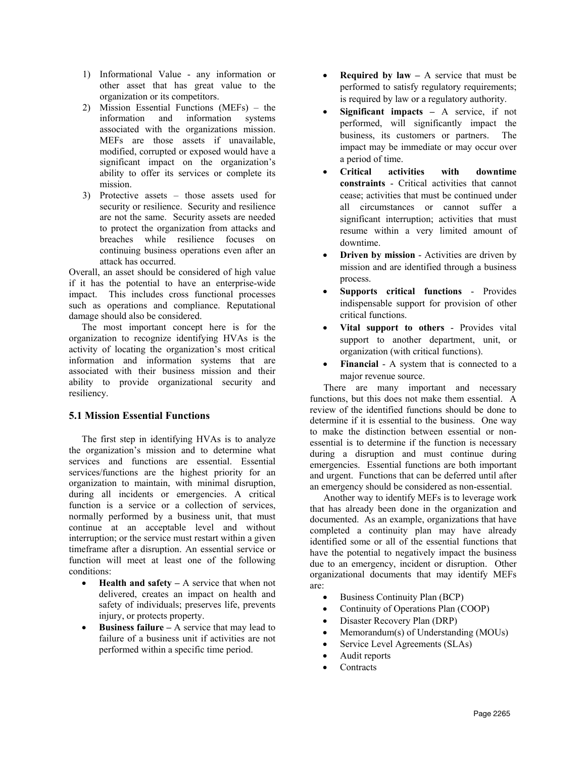- 1) Informational Value any information or other asset that has great value to the organization or its competitors.
- 2) Mission Essential Functions (MEFs) the information and information systems associated with the organizations mission. MEFs are those assets if unavailable, modified, corrupted or exposed would have a significant impact on the organization's ability to offer its services or complete its mission.
- 3) Protective assets those assets used for security or resilience. Security and resilience are not the same. Security assets are needed to protect the organization from attacks and breaches while resilience focuses on continuing business operations even after an attack has occurred.

Overall, an asset should be considered of high value if it has the potential to have an enterprise-wide impact. This includes cross functional processes such as operations and compliance. Reputational damage should also be considered.

The most important concept here is for the organization to recognize identifying HVAs is the activity of locating the organization's most critical information and information systems that are associated with their business mission and their ability to provide organizational security and resiliency.

## **5.1 Mission Essential Functions**

The first step in identifying HVAs is to analyze the organization's mission and to determine what services and functions are essential. Essential services/functions are the highest priority for an organization to maintain, with minimal disruption, during all incidents or emergencies. A critical function is a service or a collection of services, normally performed by a business unit, that must continue at an acceptable level and without interruption; or the service must restart within a given timeframe after a disruption. An essential service or function will meet at least one of the following conditions:

- **Health and safety –** A service that when not delivered, creates an impact on health and safety of individuals; preserves life, prevents injury, or protects property.
- **Business failure –** A service that may lead to failure of a business unit if activities are not performed within a specific time period.
- **Required by law –** A service that must be performed to satisfy regulatory requirements; is required by law or a regulatory authority.
- **Significant impacts –** A service, if not performed, will significantly impact the business, its customers or partners. The impact may be immediate or may occur over a period of time.
- **Critical activities with downtime constraints** - Critical activities that cannot cease; activities that must be continued under all circumstances or cannot suffer a significant interruption; activities that must resume within a very limited amount of downtime.
- **Driven by mission** Activities are driven by mission and are identified through a business process.
- **Supports critical functions** Provides indispensable support for provision of other critical functions.
- **Vital support to others** Provides vital support to another department, unit, or organization (with critical functions).
- **Financial** A system that is connected to a major revenue source.

There are many important and necessary functions, but this does not make them essential. A review of the identified functions should be done to determine if it is essential to the business. One way to make the distinction between essential or nonessential is to determine if the function is necessary during a disruption and must continue during emergencies. Essential functions are both important and urgent. Functions that can be deferred until after an emergency should be considered as non-essential.

Another way to identify MEFs is to leverage work that has already been done in the organization and documented. As an example, organizations that have completed a continuity plan may have already identified some or all of the essential functions that have the potential to negatively impact the business due to an emergency, incident or disruption. Other organizational documents that may identify MEFs are:

- Business Continuity Plan (BCP)
- Continuity of Operations Plan (COOP)
- Disaster Recovery Plan (DRP)
- Memorandum(s) of Understanding (MOUs)
- Service Level Agreements (SLAs)
- Audit reports
- **Contracts**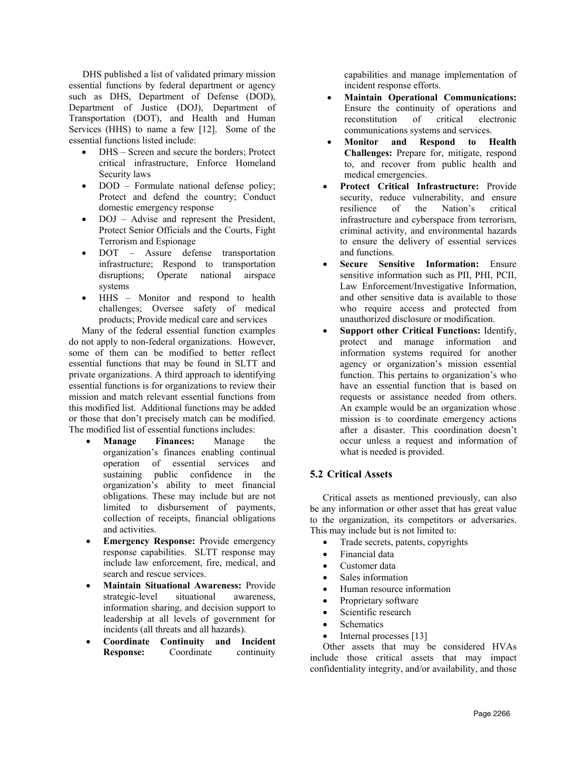DHS published a list of validated primary mission essential functions by federal department or agency such as DHS, Department of Defense (DOD), Department of Justice (DOJ), Department of Transportation (DOT), and Health and Human Services (HHS) to name a few [12]. Some of the essential functions listed include:

- DHS Screen and secure the borders; Protect critical infrastructure, Enforce Homeland Security laws
- DOD Formulate national defense policy; Protect and defend the country; Conduct domestic emergency response
- DOJ Advise and represent the President, Protect Senior Officials and the Courts, Fight Terrorism and Espionage
- DOT Assure defense transportation infrastructure; Respond to transportation disruptions; Operate national airspace systems
- HHS Monitor and respond to health challenges; Oversee safety of medical products; Provide medical care and services

Many of the federal essential function examples do not apply to non-federal organizations. However, some of them can be modified to better reflect essential functions that may be found in SLTT and private organizations. A third approach to identifying essential functions is for organizations to review their mission and match relevant essential functions from this modified list. Additional functions may be added or those that don't precisely match can be modified. The modified list of essential functions includes:

- **Manage Finances:** Manage the organization's finances enabling continual operation of essential services and sustaining public confidence in the organization's ability to meet financial obligations. These may include but are not limited to disbursement of payments, collection of receipts, financial obligations and activities.
- **Emergency Response:** Provide emergency response capabilities. SLTT response may include law enforcement, fire, medical, and search and rescue services.
- **Maintain Situational Awareness:** Provide strategic-level situational awareness, information sharing, and decision support to leadership at all levels of government for incidents (all threats and all hazards).
- **Coordinate Continuity and Incident Response:**

capabilities and manage implementation of incident response efforts.

- **Maintain Operational Communications:** Ensure the continuity of operations and reconstitution of critical electronic communications systems and services.
- **Monitor and Respond to Health Challenges:** Prepare for, mitigate, respond to, and recover from public health and medical emergencies.
- **Protect Critical Infrastructure:** Provide security, reduce vulnerability, and ensure resilience of the Nation's critical infrastructure and cyberspace from terrorism, criminal activity, and environmental hazards to ensure the delivery of essential services and functions.
- **Secure Sensitive Information:** Ensure sensitive information such as PII, PHI, PCII, Law Enforcement/Investigative Information, and other sensitive data is available to those who require access and protected from unauthorized disclosure or modification.
- **Support other Critical Functions:** Identify, protect and manage information and information systems required for another agency or organization's mission essential function. This pertains to organization's who have an essential function that is based on requests or assistance needed from others. An example would be an organization whose mission is to coordinate emergency actions after a disaster. This coordination doesn't occur unless a request and information of what is needed is provided.

## **5.2 Critical Assets**

Critical assets as mentioned previously, can also be any information or other asset that has great value to the organization, its competitors or adversaries. This may include but is not limited to:

- Trade secrets, patents, copyrights
- Financial data
- Customer data
- Sales information
- Human resource information
- Proprietary software
- Scientific research
- Schematics
- Internal processes [13]

Other assets that may be considered HVAs include those critical assets that may impact confidentiality integrity, and/or availability, and those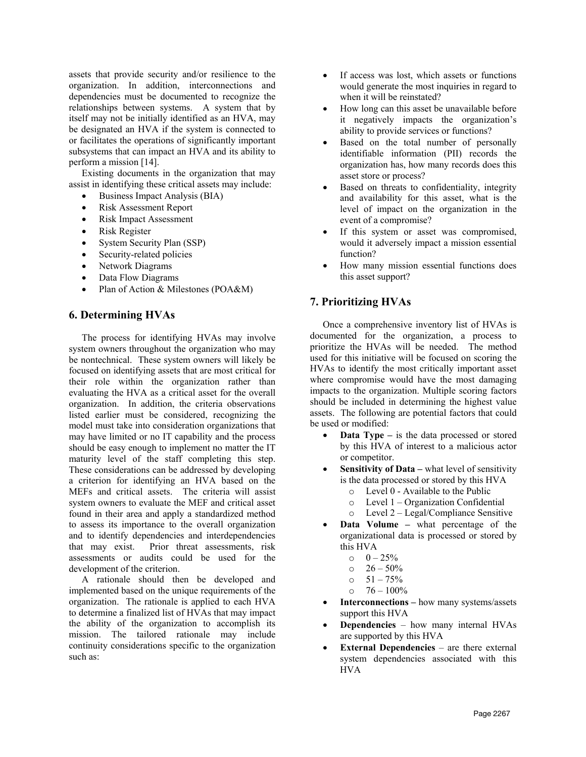assets that provide security and/or resilience to the organization. In addition, interconnections and dependencies must be documented to recognize the relationships between systems. A system that by itself may not be initially identified as an HVA, may be designated an HVA if the system is connected to or facilitates the operations of significantly important subsystems that can impact an HVA and its ability to perform a mission [14].

Existing documents in the organization that may assist in identifying these critical assets may include:

- Business Impact Analysis (BIA)
- Risk Assessment Report
- Risk Impact Assessment
- Risk Register
- System Security Plan (SSP)
- Security-related policies
- Network Diagrams
- Data Flow Diagrams
- Plan of Action & Milestones (POA&M)

## **6. Determining HVAs**

The process for identifying HVAs may involve system owners throughout the organization who may be nontechnical. These system owners will likely be focused on identifying assets that are most critical for their role within the organization rather than evaluating the HVA as a critical asset for the overall organization. In addition, the criteria observations listed earlier must be considered, recognizing the model must take into consideration organizations that may have limited or no IT capability and the process should be easy enough to implement no matter the IT maturity level of the staff completing this step. These considerations can be addressed by developing a criterion for identifying an HVA based on the MEFs and critical assets. The criteria will assist system owners to evaluate the MEF and critical asset found in their area and apply a standardized method to assess its importance to the overall organization and to identify dependencies and interdependencies that may exist. Prior threat assessments, risk assessments or audits could be used for the development of the criterion.

A rationale should then be developed and implemented based on the unique requirements of the organization. The rationale is applied to each HVA to determine a finalized list of HVAs that may impact the ability of the organization to accomplish its mission. The tailored rationale may include continuity considerations specific to the organization such as:

- If access was lost, which assets or functions would generate the most inquiries in regard to when it will be reinstated?
- How long can this asset be unavailable before it negatively impacts the organization's ability to provide services or functions?
- Based on the total number of personally identifiable information (PII) records the organization has, how many records does this asset store or process?
- Based on threats to confidentiality, integrity and availability for this asset, what is the level of impact on the organization in the event of a compromise?
- If this system or asset was compromised, would it adversely impact a mission essential function?
- How many mission essential functions does this asset support?

## **7. Prioritizing HVAs**

Once a comprehensive inventory list of HVAs is documented for the organization, a process to prioritize the HVAs will be needed. The method used for this initiative will be focused on scoring the HVAs to identify the most critically important asset where compromise would have the most damaging impacts to the organization. Multiple scoring factors should be included in determining the highest value assets. The following are potential factors that could be used or modified:

- **Data Type –** is the data processed or stored by this HVA of interest to a malicious actor or competitor.
- **Sensitivity of Data** what level of sensitivity is the data processed or stored by this HVA
	- o Level 0 Available to the Public
	- o Level 1 Organization Confidential
	- o Level 2 Legal/Compliance Sensitive
- **Data Volume –** what percentage of the organizational data is processed or stored by this HVA
	-
	- $\begin{array}{cc}\n 0 & -25\% \\
	0 & 26 50\%\n \end{array}$  $26 - 50%$
	-
	- $\frac{51 75\%}{20}$  $76 - 100\%$
- **Interconnections –** how many systems/assets support this HVA
- **Dependencies**  how many internal HVAs are supported by this HVA
- **External Dependencies** are there external system dependencies associated with this HVA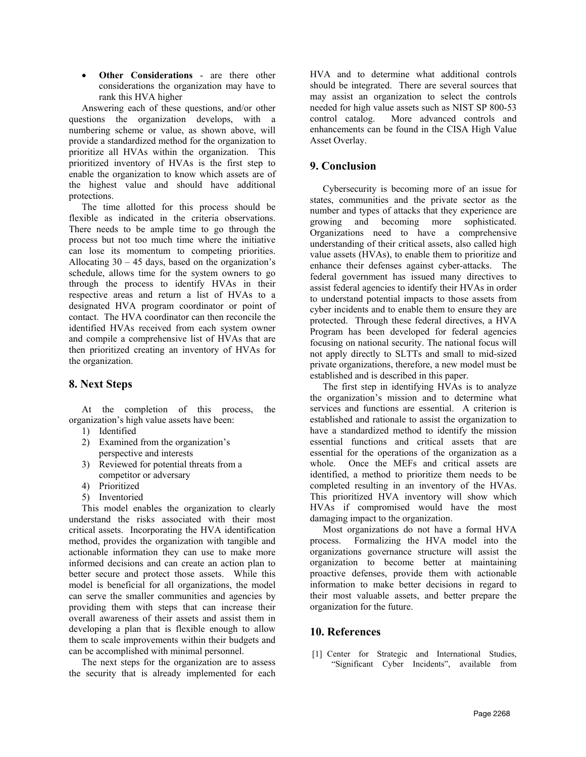• **Other Considerations** - are there other considerations the organization may have to rank this HVA higher

Answering each of these questions, and/or other questions the organization develops, with a numbering scheme or value, as shown above, will provide a standardized method for the organization to prioritize all HVAs within the organization. This prioritized inventory of HVAs is the first step to enable the organization to know which assets are of the highest value and should have additional protections.

The time allotted for this process should be flexible as indicated in the criteria observations. There needs to be ample time to go through the process but not too much time where the initiative can lose its momentum to competing priorities. Allocating  $30 - 45$  days, based on the organization's schedule, allows time for the system owners to go through the process to identify HVAs in their respective areas and return a list of HVAs to a designated HVA program coordinator or point of contact. The HVA coordinator can then reconcile the identified HVAs received from each system owner and compile a comprehensive list of HVAs that are then prioritized creating an inventory of HVAs for the organization.

## **8. Next Steps**

At the completion of this process, the organization's high value assets have been:

- 1) Identified
- 2) Examined from the organization's perspective and interests
- 3) Reviewed for potential threats from a competitor or adversary
- 4) Prioritized
- 5) Inventoried

This model enables the organization to clearly understand the risks associated with their most critical assets. Incorporating the HVA identification method, provides the organization with tangible and actionable information they can use to make more informed decisions and can create an action plan to better secure and protect those assets. While this model is beneficial for all organizations, the model can serve the smaller communities and agencies by providing them with steps that can increase their overall awareness of their assets and assist them in developing a plan that is flexible enough to allow them to scale improvements within their budgets and can be accomplished with minimal personnel.

The next steps for the organization are to assess the security that is already implemented for each

HVA and to determine what additional controls should be integrated. There are several sources that may assist an organization to select the controls needed for high value assets such as NIST SP 800-53 control catalog. More advanced controls and enhancements can be found in the CISA High Value Asset Overlay.

# **9. Conclusion**

Cybersecurity is becoming more of an issue for states, communities and the private sector as the number and types of attacks that they experience are growing and becoming more sophisticated. Organizations need to have a comprehensive understanding of their critical assets, also called high value assets (HVAs), to enable them to prioritize and enhance their defenses against cyber-attacks. The federal government has issued many directives to assist federal agencies to identify their HVAs in order to understand potential impacts to those assets from cyber incidents and to enable them to ensure they are protected. Through these federal directives, a HVA Program has been developed for federal agencies focusing on national security. The national focus will not apply directly to SLTTs and small to mid-sized private organizations, therefore, a new model must be established and is described in this paper.

The first step in identifying HVAs is to analyze the organization's mission and to determine what services and functions are essential. A criterion is established and rationale to assist the organization to have a standardized method to identify the mission essential functions and critical assets that are essential for the operations of the organization as a whole. Once the MEFs and critical assets are identified, a method to prioritize them needs to be completed resulting in an inventory of the HVAs. This prioritized HVA inventory will show which HVAs if compromised would have the most damaging impact to the organization.

Most organizations do not have a formal HVA process. Formalizing the HVA model into the organizations governance structure will assist the organization to become better at maintaining proactive defenses, provide them with actionable information to make better decisions in regard to their most valuable assets, and better prepare the organization for the future.

# **10. References**

[1] Center for Strategic and International Studies, "Significant Cyber Incidents", available from